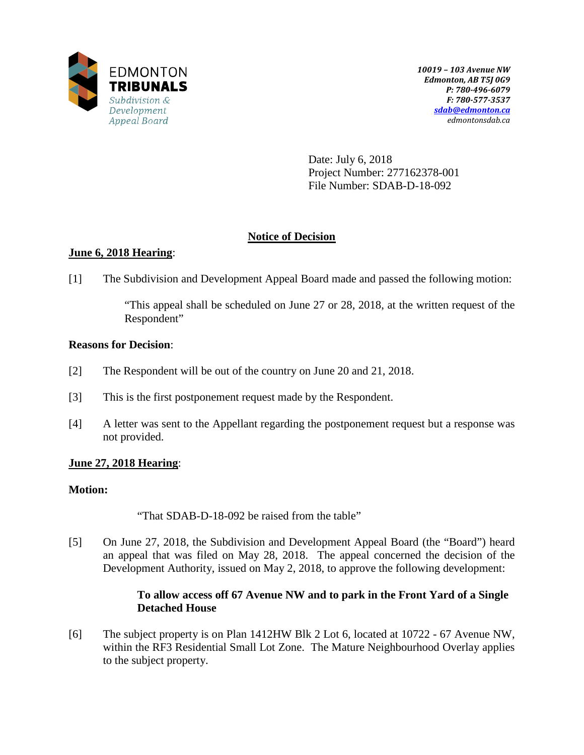

Date: July 6, 2018 Project Number: 277162378-001 File Number: SDAB-D-18-092

# **Notice of Decision**

# **June 6, 2018 Hearing**:

[1] The Subdivision and Development Appeal Board made and passed the following motion:

"This appeal shall be scheduled on June 27 or 28, 2018, at the written request of the Respondent"

### **Reasons for Decision**:

- [2] The Respondent will be out of the country on June 20 and 21, 2018.
- [3] This is the first postponement request made by the Respondent.
- [4] A letter was sent to the Appellant regarding the postponement request but a response was not provided.

# **June 27, 2018 Hearing**:

# **Motion:**

"That SDAB-D-18-092 be raised from the table"

[5] On June 27, 2018, the Subdivision and Development Appeal Board (the "Board") heard an appeal that was filed on May 28, 2018. The appeal concerned the decision of the Development Authority, issued on May 2, 2018, to approve the following development:

# **To allow access off 67 Avenue NW and to park in the Front Yard of a Single Detached House**

[6] The subject property is on Plan 1412HW Blk 2 Lot 6, located at 10722 - 67 Avenue NW, within the RF3 Residential Small Lot Zone. The Mature Neighbourhood Overlay applies to the subject property.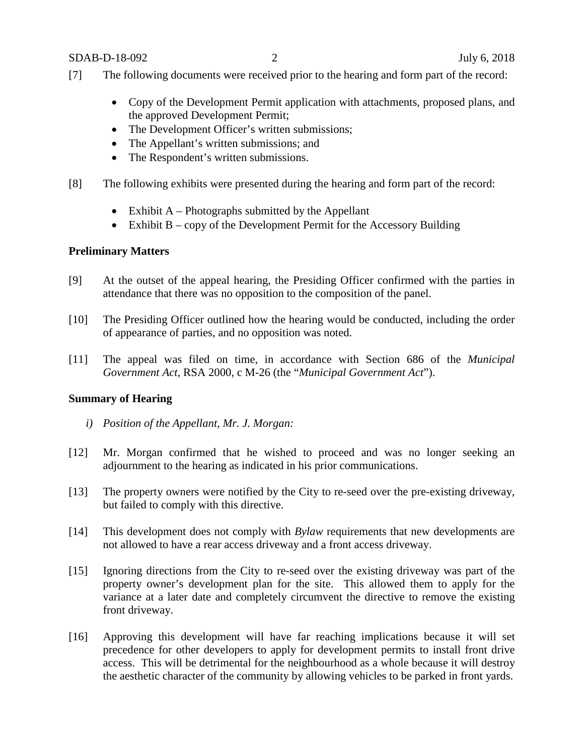SDAB-D-18-092 2 July 6, 2018

- [7] The following documents were received prior to the hearing and form part of the record:
	- Copy of the Development Permit application with attachments, proposed plans, and the approved Development Permit;
	- The Development Officer's written submissions;
	- The Appellant's written submissions; and
	- The Respondent's written submissions.
- [8] The following exhibits were presented during the hearing and form part of the record:
	- Exhibit  $A$  Photographs submitted by the Appellant
	- Exhibit B copy of the Development Permit for the Accessory Building

### **Preliminary Matters**

- [9] At the outset of the appeal hearing, the Presiding Officer confirmed with the parties in attendance that there was no opposition to the composition of the panel.
- [10] The Presiding Officer outlined how the hearing would be conducted, including the order of appearance of parties, and no opposition was noted.
- [11] The appeal was filed on time, in accordance with Section 686 of the *Municipal Government Act*, RSA 2000, c M-26 (the "*Municipal Government Act*").

### **Summary of Hearing**

- *i) Position of the Appellant, Mr. J. Morgan:*
- [12] Mr. Morgan confirmed that he wished to proceed and was no longer seeking an adjournment to the hearing as indicated in his prior communications.
- [13] The property owners were notified by the City to re-seed over the pre-existing driveway, but failed to comply with this directive.
- [14] This development does not comply with *Bylaw* requirements that new developments are not allowed to have a rear access driveway and a front access driveway.
- [15] Ignoring directions from the City to re-seed over the existing driveway was part of the property owner's development plan for the site. This allowed them to apply for the variance at a later date and completely circumvent the directive to remove the existing front driveway.
- [16] Approving this development will have far reaching implications because it will set precedence for other developers to apply for development permits to install front drive access. This will be detrimental for the neighbourhood as a whole because it will destroy the aesthetic character of the community by allowing vehicles to be parked in front yards.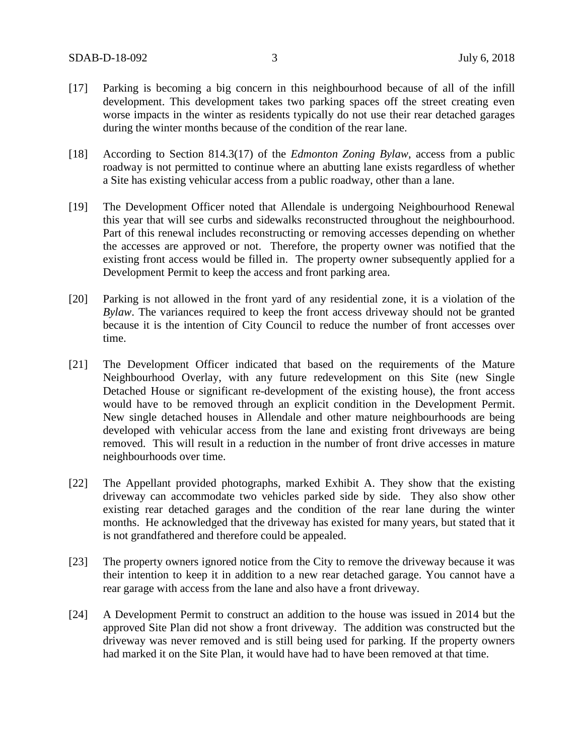- [17] Parking is becoming a big concern in this neighbourhood because of all of the infill development. This development takes two parking spaces off the street creating even worse impacts in the winter as residents typically do not use their rear detached garages during the winter months because of the condition of the rear lane.
- [18] According to Section 814.3(17) of the *Edmonton Zoning Bylaw*, access from a public roadway is not permitted to continue where an abutting lane exists regardless of whether a Site has existing vehicular access from a public roadway, other than a lane.
- [19] The Development Officer noted that Allendale is undergoing Neighbourhood Renewal this year that will see curbs and sidewalks reconstructed throughout the neighbourhood. Part of this renewal includes reconstructing or removing accesses depending on whether the accesses are approved or not. Therefore, the property owner was notified that the existing front access would be filled in. The property owner subsequently applied for a Development Permit to keep the access and front parking area.
- [20] Parking is not allowed in the front yard of any residential zone, it is a violation of the *Bylaw*. The variances required to keep the front access driveway should not be granted because it is the intention of City Council to reduce the number of front accesses over time.
- [21] The Development Officer indicated that based on the requirements of the Mature Neighbourhood Overlay, with any future redevelopment on this Site (new Single Detached House or significant re-development of the existing house), the front access would have to be removed through an explicit condition in the Development Permit. New single detached houses in Allendale and other mature neighbourhoods are being developed with vehicular access from the lane and existing front driveways are being removed. This will result in a reduction in the number of front drive accesses in mature neighbourhoods over time.
- [22] The Appellant provided photographs, marked Exhibit A. They show that the existing driveway can accommodate two vehicles parked side by side. They also show other existing rear detached garages and the condition of the rear lane during the winter months. He acknowledged that the driveway has existed for many years, but stated that it is not grandfathered and therefore could be appealed.
- [23] The property owners ignored notice from the City to remove the driveway because it was their intention to keep it in addition to a new rear detached garage. You cannot have a rear garage with access from the lane and also have a front driveway.
- [24] A Development Permit to construct an addition to the house was issued in 2014 but the approved Site Plan did not show a front driveway. The addition was constructed but the driveway was never removed and is still being used for parking. If the property owners had marked it on the Site Plan, it would have had to have been removed at that time.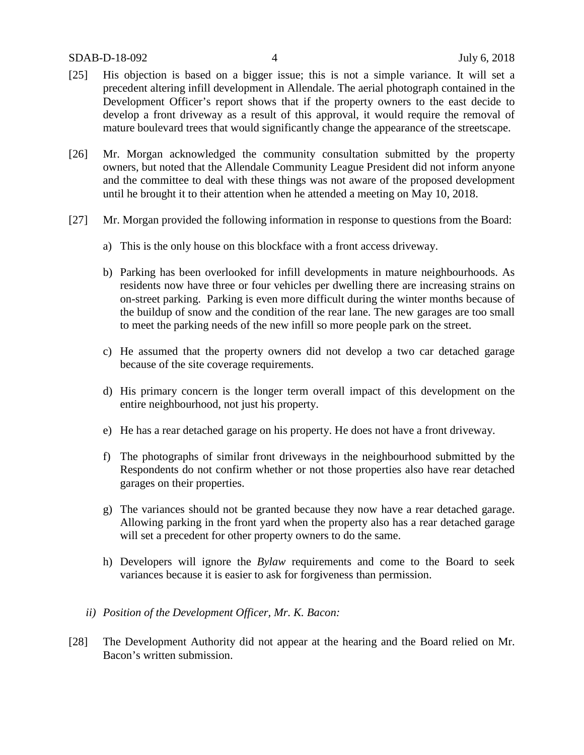- [25] His objection is based on a bigger issue; this is not a simple variance. It will set a precedent altering infill development in Allendale. The aerial photograph contained in the Development Officer's report shows that if the property owners to the east decide to develop a front driveway as a result of this approval, it would require the removal of mature boulevard trees that would significantly change the appearance of the streetscape.
- [26] Mr. Morgan acknowledged the community consultation submitted by the property owners, but noted that the Allendale Community League President did not inform anyone and the committee to deal with these things was not aware of the proposed development until he brought it to their attention when he attended a meeting on May 10, 2018.
- [27] Mr. Morgan provided the following information in response to questions from the Board:
	- a) This is the only house on this blockface with a front access driveway.
	- b) Parking has been overlooked for infill developments in mature neighbourhoods. As residents now have three or four vehicles per dwelling there are increasing strains on on-street parking. Parking is even more difficult during the winter months because of the buildup of snow and the condition of the rear lane. The new garages are too small to meet the parking needs of the new infill so more people park on the street.
	- c) He assumed that the property owners did not develop a two car detached garage because of the site coverage requirements.
	- d) His primary concern is the longer term overall impact of this development on the entire neighbourhood, not just his property.
	- e) He has a rear detached garage on his property. He does not have a front driveway.
	- f) The photographs of similar front driveways in the neighbourhood submitted by the Respondents do not confirm whether or not those properties also have rear detached garages on their properties.
	- g) The variances should not be granted because they now have a rear detached garage. Allowing parking in the front yard when the property also has a rear detached garage will set a precedent for other property owners to do the same.
	- h) Developers will ignore the *Bylaw* requirements and come to the Board to seek variances because it is easier to ask for forgiveness than permission.
	- *ii) Position of the Development Officer, Mr. K. Bacon:*
- [28] The Development Authority did not appear at the hearing and the Board relied on Mr. Bacon's written submission.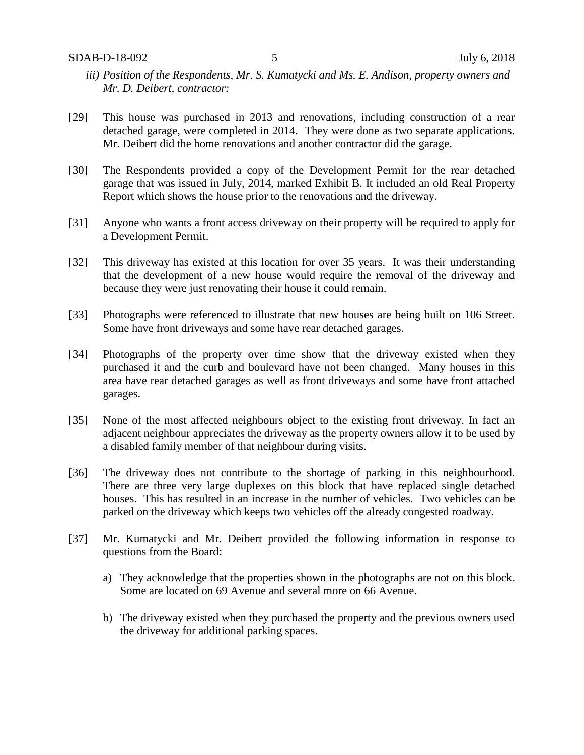- *iii) Position of the Respondents, Mr. S. Kumatycki and Ms. E. Andison, property owners and Mr. D. Deibert, contractor:*
- [29] This house was purchased in 2013 and renovations, including construction of a rear detached garage, were completed in 2014. They were done as two separate applications. Mr. Deibert did the home renovations and another contractor did the garage.
- [30] The Respondents provided a copy of the Development Permit for the rear detached garage that was issued in July, 2014, marked Exhibit B. It included an old Real Property Report which shows the house prior to the renovations and the driveway.
- [31] Anyone who wants a front access driveway on their property will be required to apply for a Development Permit.
- [32] This driveway has existed at this location for over 35 years. It was their understanding that the development of a new house would require the removal of the driveway and because they were just renovating their house it could remain.
- [33] Photographs were referenced to illustrate that new houses are being built on 106 Street. Some have front driveways and some have rear detached garages.
- [34] Photographs of the property over time show that the driveway existed when they purchased it and the curb and boulevard have not been changed. Many houses in this area have rear detached garages as well as front driveways and some have front attached garages.
- [35] None of the most affected neighbours object to the existing front driveway. In fact an adjacent neighbour appreciates the driveway as the property owners allow it to be used by a disabled family member of that neighbour during visits.
- [36] The driveway does not contribute to the shortage of parking in this neighbourhood. There are three very large duplexes on this block that have replaced single detached houses. This has resulted in an increase in the number of vehicles. Two vehicles can be parked on the driveway which keeps two vehicles off the already congested roadway.
- [37] Mr. Kumatycki and Mr. Deibert provided the following information in response to questions from the Board:
	- a) They acknowledge that the properties shown in the photographs are not on this block. Some are located on 69 Avenue and several more on 66 Avenue.
	- b) The driveway existed when they purchased the property and the previous owners used the driveway for additional parking spaces.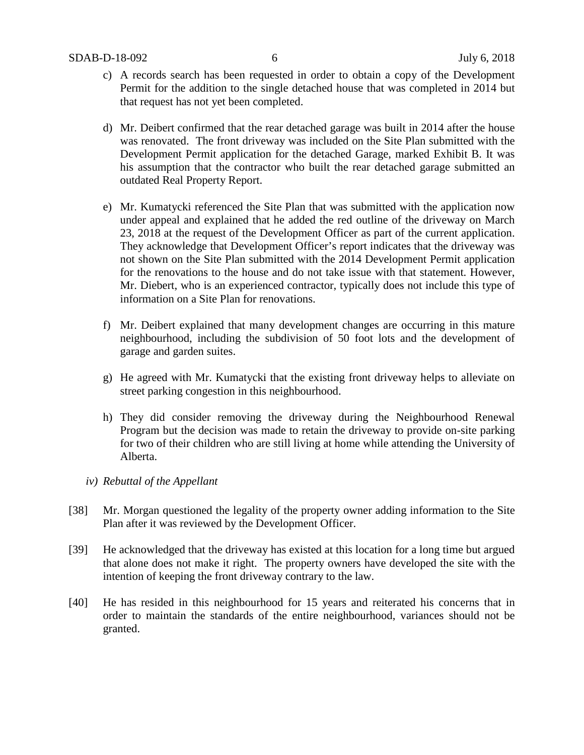- c) A records search has been requested in order to obtain a copy of the Development Permit for the addition to the single detached house that was completed in 2014 but that request has not yet been completed.
- d) Mr. Deibert confirmed that the rear detached garage was built in 2014 after the house was renovated. The front driveway was included on the Site Plan submitted with the Development Permit application for the detached Garage, marked Exhibit B. It was his assumption that the contractor who built the rear detached garage submitted an outdated Real Property Report.
- e) Mr. Kumatycki referenced the Site Plan that was submitted with the application now under appeal and explained that he added the red outline of the driveway on March 23, 2018 at the request of the Development Officer as part of the current application. They acknowledge that Development Officer's report indicates that the driveway was not shown on the Site Plan submitted with the 2014 Development Permit application for the renovations to the house and do not take issue with that statement. However, Mr. Diebert, who is an experienced contractor, typically does not include this type of information on a Site Plan for renovations.
- f) Mr. Deibert explained that many development changes are occurring in this mature neighbourhood, including the subdivision of 50 foot lots and the development of garage and garden suites.
- g) He agreed with Mr. Kumatycki that the existing front driveway helps to alleviate on street parking congestion in this neighbourhood.
- h) They did consider removing the driveway during the Neighbourhood Renewal Program but the decision was made to retain the driveway to provide on-site parking for two of their children who are still living at home while attending the University of Alberta.
- *iv) Rebuttal of the Appellant*
- [38] Mr. Morgan questioned the legality of the property owner adding information to the Site Plan after it was reviewed by the Development Officer.
- [39] He acknowledged that the driveway has existed at this location for a long time but argued that alone does not make it right. The property owners have developed the site with the intention of keeping the front driveway contrary to the law.
- [40] He has resided in this neighbourhood for 15 years and reiterated his concerns that in order to maintain the standards of the entire neighbourhood, variances should not be granted.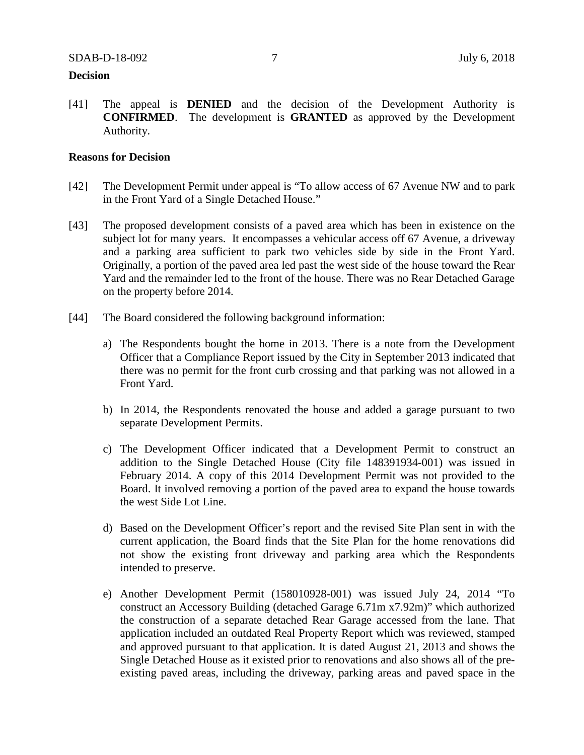#### **Decision**

[41] The appeal is **DENIED** and the decision of the Development Authority is **CONFIRMED**. The development is **GRANTED** as approved by the Development Authority.

### **Reasons for Decision**

- [42] The Development Permit under appeal is "To allow access of 67 Avenue NW and to park in the Front Yard of a Single Detached House."
- [43] The proposed development consists of a paved area which has been in existence on the subject lot for many years. It encompasses a vehicular access off 67 Avenue, a driveway and a parking area sufficient to park two vehicles side by side in the Front Yard. Originally, a portion of the paved area led past the west side of the house toward the Rear Yard and the remainder led to the front of the house. There was no Rear Detached Garage on the property before 2014.
- [44] The Board considered the following background information:
	- a) The Respondents bought the home in 2013. There is a note from the Development Officer that a Compliance Report issued by the City in September 2013 indicated that there was no permit for the front curb crossing and that parking was not allowed in a Front Yard.
	- b) In 2014, the Respondents renovated the house and added a garage pursuant to two separate Development Permits.
	- c) The Development Officer indicated that a Development Permit to construct an addition to the Single Detached House (City file 148391934-001) was issued in February 2014. A copy of this 2014 Development Permit was not provided to the Board. It involved removing a portion of the paved area to expand the house towards the west Side Lot Line.
	- d) Based on the Development Officer's report and the revised Site Plan sent in with the current application, the Board finds that the Site Plan for the home renovations did not show the existing front driveway and parking area which the Respondents intended to preserve.
	- e) Another Development Permit (158010928-001) was issued July 24, 2014 "To construct an Accessory Building (detached Garage 6.71m x7.92m)" which authorized the construction of a separate detached Rear Garage accessed from the lane. That application included an outdated Real Property Report which was reviewed, stamped and approved pursuant to that application. It is dated August 21, 2013 and shows the Single Detached House as it existed prior to renovations and also shows all of the preexisting paved areas, including the driveway, parking areas and paved space in the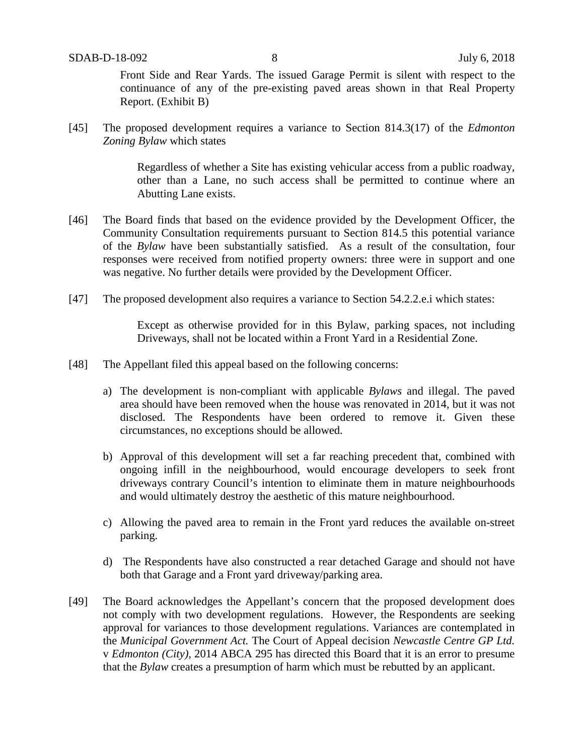Front Side and Rear Yards. The issued Garage Permit is silent with respect to the continuance of any of the pre-existing paved areas shown in that Real Property Report. (Exhibit B)

[45] The proposed development requires a variance to Section 814.3(17) of the *Edmonton Zoning Bylaw* which states

> Regardless of whether a Site has existing vehicular access from a public roadway, other than a Lane, no such access shall be permitted to continue where an Abutting Lane exists.

- [46] The Board finds that based on the evidence provided by the Development Officer, the Community Consultation requirements pursuant to Section 814.5 this potential variance of the *Bylaw* have been substantially satisfied. As a result of the consultation, four responses were received from notified property owners: three were in support and one was negative. No further details were provided by the Development Officer.
- [47] The proposed development also requires a variance to Section 54.2.2.e.i which states:

Except as otherwise provided for in this Bylaw, parking spaces, not including Driveways, shall not be located within a Front Yard in a Residential Zone.

- [48] The Appellant filed this appeal based on the following concerns:
	- a) The development is non-compliant with applicable *Bylaws* and illegal. The paved area should have been removed when the house was renovated in 2014, but it was not disclosed. The Respondents have been ordered to remove it. Given these circumstances, no exceptions should be allowed.
	- b) Approval of this development will set a far reaching precedent that, combined with ongoing infill in the neighbourhood, would encourage developers to seek front driveways contrary Council's intention to eliminate them in mature neighbourhoods and would ultimately destroy the aesthetic of this mature neighbourhood.
	- c) Allowing the paved area to remain in the Front yard reduces the available on-street parking.
	- d) The Respondents have also constructed a rear detached Garage and should not have both that Garage and a Front yard driveway/parking area.
- [49] The Board acknowledges the Appellant's concern that the proposed development does not comply with two development regulations. However, the Respondents are seeking approval for variances to those development regulations. Variances are contemplated in the *Municipal Government Act.* The Court of Appeal decision *Newcastle Centre GP Ltd.*  v *Edmonton (City),* 2014 ABCA 295 has directed this Board that it is an error to presume that the *Bylaw* creates a presumption of harm which must be rebutted by an applicant.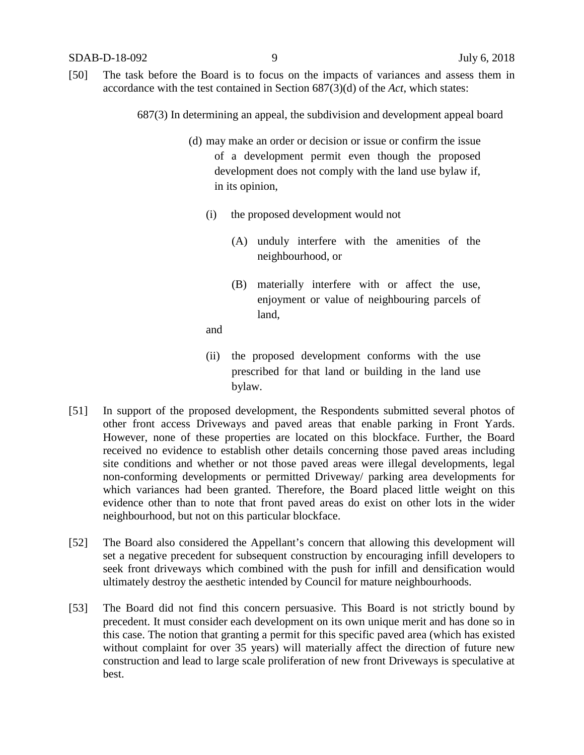[50] The task before the Board is to focus on the impacts of variances and assess them in accordance with the test contained in Section 687(3)(d) of the *Act*, which states:

687(3) In determining an appeal, the subdivision and development appeal board

- (d) may make an order or decision or issue or confirm the issue of a development permit even though the proposed development does not comply with the land use bylaw if, in its opinion,
	- (i) the proposed development would not
		- (A) unduly interfere with the amenities of the neighbourhood, or
		- (B) materially interfere with or affect the use, enjoyment or value of neighbouring parcels of land,

and

- (ii) the proposed development conforms with the use prescribed for that land or building in the land use bylaw.
- [51] In support of the proposed development, the Respondents submitted several photos of other front access Driveways and paved areas that enable parking in Front Yards. However, none of these properties are located on this blockface. Further, the Board received no evidence to establish other details concerning those paved areas including site conditions and whether or not those paved areas were illegal developments, legal non-conforming developments or permitted Driveway/ parking area developments for which variances had been granted. Therefore, the Board placed little weight on this evidence other than to note that front paved areas do exist on other lots in the wider neighbourhood, but not on this particular blockface.
- [52] The Board also considered the Appellant's concern that allowing this development will set a negative precedent for subsequent construction by encouraging infill developers to seek front driveways which combined with the push for infill and densification would ultimately destroy the aesthetic intended by Council for mature neighbourhoods.
- [53] The Board did not find this concern persuasive. This Board is not strictly bound by precedent. It must consider each development on its own unique merit and has done so in this case. The notion that granting a permit for this specific paved area (which has existed without complaint for over 35 years) will materially affect the direction of future new construction and lead to large scale proliferation of new front Driveways is speculative at best.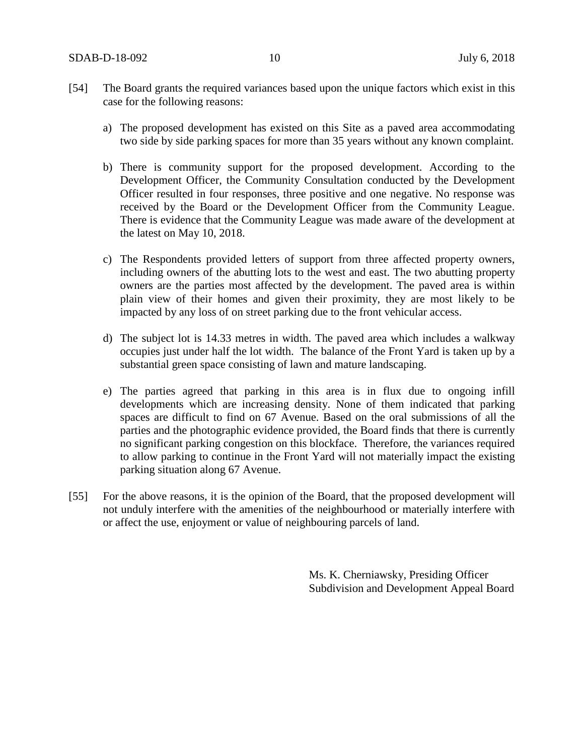- [54] The Board grants the required variances based upon the unique factors which exist in this case for the following reasons:
	- a) The proposed development has existed on this Site as a paved area accommodating two side by side parking spaces for more than 35 years without any known complaint.
	- b) There is community support for the proposed development. According to the Development Officer, the Community Consultation conducted by the Development Officer resulted in four responses, three positive and one negative. No response was received by the Board or the Development Officer from the Community League. There is evidence that the Community League was made aware of the development at the latest on May 10, 2018.
	- c) The Respondents provided letters of support from three affected property owners, including owners of the abutting lots to the west and east. The two abutting property owners are the parties most affected by the development. The paved area is within plain view of their homes and given their proximity, they are most likely to be impacted by any loss of on street parking due to the front vehicular access.
	- d) The subject lot is 14.33 metres in width. The paved area which includes a walkway occupies just under half the lot width. The balance of the Front Yard is taken up by a substantial green space consisting of lawn and mature landscaping.
	- e) The parties agreed that parking in this area is in flux due to ongoing infill developments which are increasing density. None of them indicated that parking spaces are difficult to find on 67 Avenue. Based on the oral submissions of all the parties and the photographic evidence provided, the Board finds that there is currently no significant parking congestion on this blockface. Therefore, the variances required to allow parking to continue in the Front Yard will not materially impact the existing parking situation along 67 Avenue.
- [55] For the above reasons, it is the opinion of the Board, that the proposed development will not unduly interfere with the amenities of the neighbourhood or materially interfere with or affect the use, enjoyment or value of neighbouring parcels of land.

Ms. K. Cherniawsky, Presiding Officer Subdivision and Development Appeal Board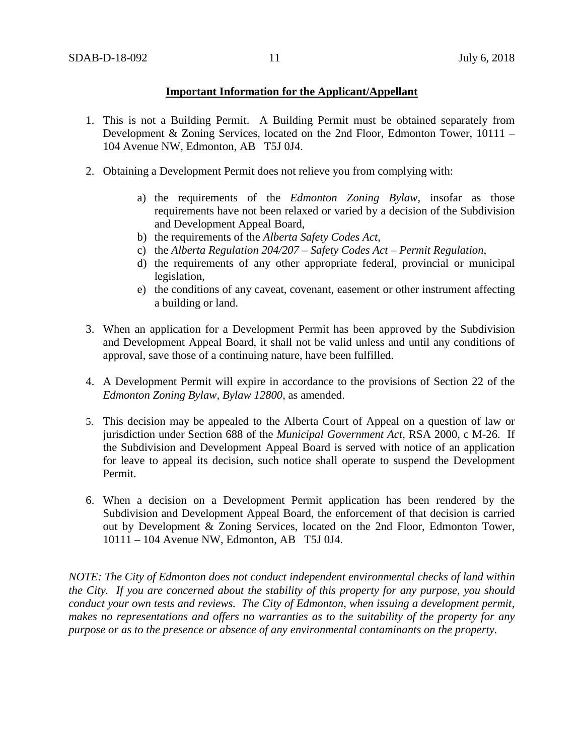## **Important Information for the Applicant/Appellant**

- 1. This is not a Building Permit. A Building Permit must be obtained separately from Development & Zoning Services, located on the 2nd Floor, Edmonton Tower, 10111 – 104 Avenue NW, Edmonton, AB T5J 0J4.
- 2. Obtaining a Development Permit does not relieve you from complying with:
	- a) the requirements of the *Edmonton Zoning Bylaw*, insofar as those requirements have not been relaxed or varied by a decision of the Subdivision and Development Appeal Board,
	- b) the requirements of the *Alberta Safety Codes Act*,
	- c) the *Alberta Regulation 204/207 – Safety Codes Act – Permit Regulation*,
	- d) the requirements of any other appropriate federal, provincial or municipal legislation,
	- e) the conditions of any caveat, covenant, easement or other instrument affecting a building or land.
- 3. When an application for a Development Permit has been approved by the Subdivision and Development Appeal Board, it shall not be valid unless and until any conditions of approval, save those of a continuing nature, have been fulfilled.
- 4. A Development Permit will expire in accordance to the provisions of Section 22 of the *Edmonton Zoning Bylaw, Bylaw 12800*, as amended.
- 5. This decision may be appealed to the Alberta Court of Appeal on a question of law or jurisdiction under Section 688 of the *Municipal Government Act*, RSA 2000, c M-26. If the Subdivision and Development Appeal Board is served with notice of an application for leave to appeal its decision, such notice shall operate to suspend the Development Permit.
- 6. When a decision on a Development Permit application has been rendered by the Subdivision and Development Appeal Board, the enforcement of that decision is carried out by Development & Zoning Services, located on the 2nd Floor, Edmonton Tower, 10111 – 104 Avenue NW, Edmonton, AB T5J 0J4.

*NOTE: The City of Edmonton does not conduct independent environmental checks of land within the City. If you are concerned about the stability of this property for any purpose, you should conduct your own tests and reviews. The City of Edmonton, when issuing a development permit, makes no representations and offers no warranties as to the suitability of the property for any purpose or as to the presence or absence of any environmental contaminants on the property.*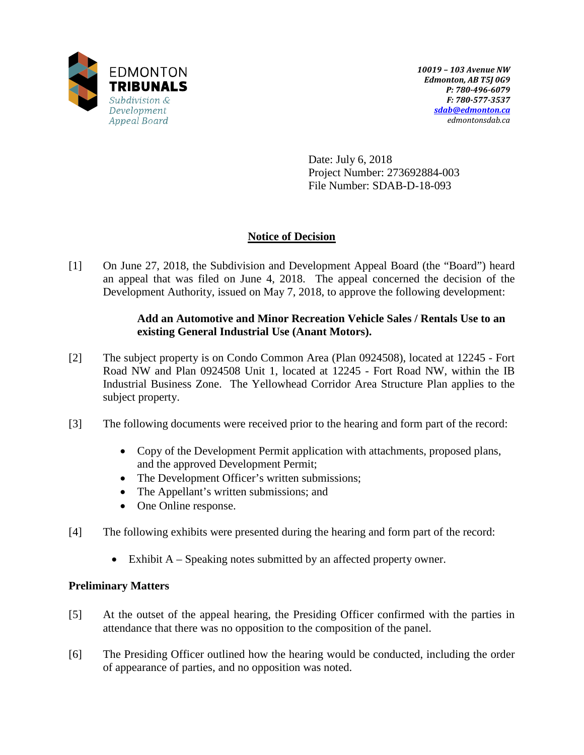

Date: July 6, 2018 Project Number: 273692884-003 File Number: SDAB-D-18-093

# **Notice of Decision**

[1] On June 27, 2018, the Subdivision and Development Appeal Board (the "Board") heard an appeal that was filed on June 4, 2018. The appeal concerned the decision of the Development Authority, issued on May 7, 2018, to approve the following development:

# **Add an Automotive and Minor Recreation Vehicle Sales / Rentals Use to an existing General Industrial Use (Anant Motors).**

- [2] The subject property is on Condo Common Area (Plan 0924508), located at 12245 Fort Road NW and Plan 0924508 Unit 1, located at 12245 - Fort Road NW, within the IB Industrial Business Zone. The Yellowhead Corridor Area Structure Plan applies to the subject property.
- [3] The following documents were received prior to the hearing and form part of the record:
	- Copy of the Development Permit application with attachments, proposed plans, and the approved Development Permit;
	- The Development Officer's written submissions;
	- The Appellant's written submissions; and
	- One Online response.
- [4] The following exhibits were presented during the hearing and form part of the record:
	- Exhibit A Speaking notes submitted by an affected property owner.

# **Preliminary Matters**

- [5] At the outset of the appeal hearing, the Presiding Officer confirmed with the parties in attendance that there was no opposition to the composition of the panel.
- [6] The Presiding Officer outlined how the hearing would be conducted, including the order of appearance of parties, and no opposition was noted.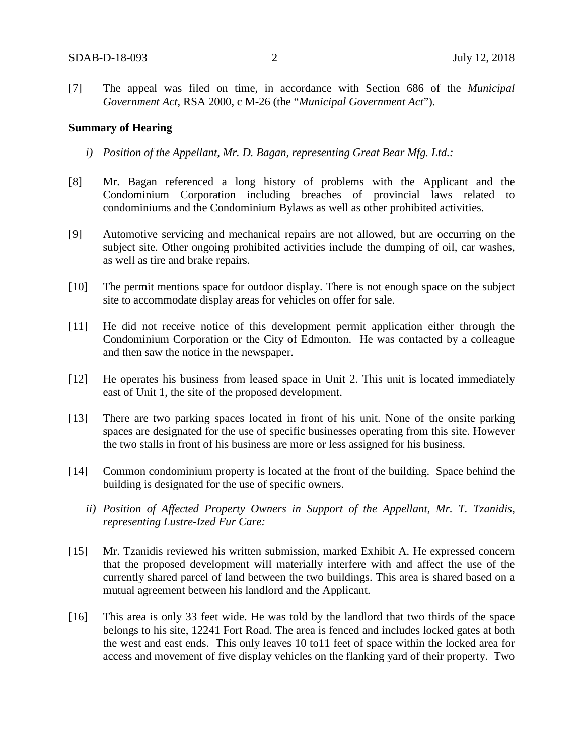[7] The appeal was filed on time, in accordance with Section 686 of the *Municipal Government Act*, RSA 2000, c M-26 (the "*Municipal Government Act*").

#### **Summary of Hearing**

- *i) Position of the Appellant, Mr. D. Bagan, representing Great Bear Mfg. Ltd.:*
- [8] Mr. Bagan referenced a long history of problems with the Applicant and the Condominium Corporation including breaches of provincial laws related to condominiums and the Condominium Bylaws as well as other prohibited activities.
- [9] Automotive servicing and mechanical repairs are not allowed, but are occurring on the subject site. Other ongoing prohibited activities include the dumping of oil, car washes, as well as tire and brake repairs.
- [10] The permit mentions space for outdoor display. There is not enough space on the subject site to accommodate display areas for vehicles on offer for sale.
- [11] He did not receive notice of this development permit application either through the Condominium Corporation or the City of Edmonton. He was contacted by a colleague and then saw the notice in the newspaper.
- [12] He operates his business from leased space in Unit 2. This unit is located immediately east of Unit 1, the site of the proposed development.
- [13] There are two parking spaces located in front of his unit. None of the onsite parking spaces are designated for the use of specific businesses operating from this site. However the two stalls in front of his business are more or less assigned for his business.
- [14] Common condominium property is located at the front of the building. Space behind the building is designated for the use of specific owners.
	- *ii) Position of Affected Property Owners in Support of the Appellant, Mr. T. Tzanidis, representing Lustre-Ized Fur Care:*
- [15] Mr. Tzanidis reviewed his written submission, marked Exhibit A. He expressed concern that the proposed development will materially interfere with and affect the use of the currently shared parcel of land between the two buildings. This area is shared based on a mutual agreement between his landlord and the Applicant.
- [16] This area is only 33 feet wide. He was told by the landlord that two thirds of the space belongs to his site, 12241 Fort Road. The area is fenced and includes locked gates at both the west and east ends. This only leaves 10 to11 feet of space within the locked area for access and movement of five display vehicles on the flanking yard of their property. Two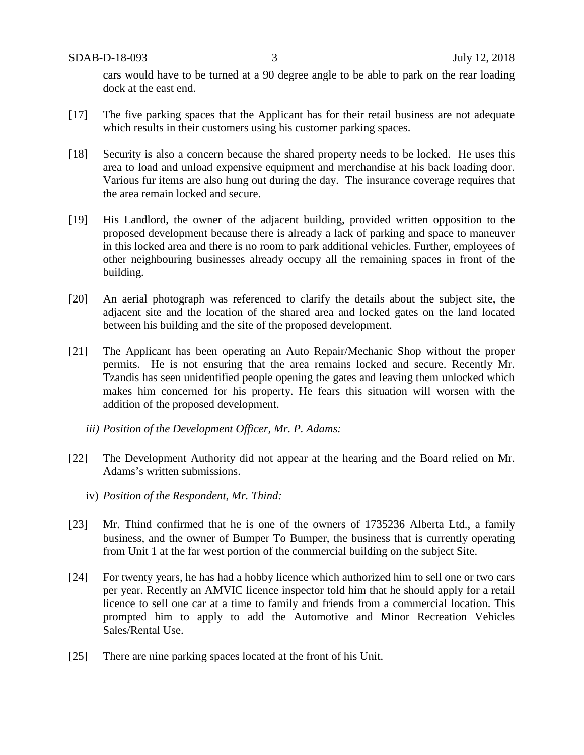cars would have to be turned at a 90 degree angle to be able to park on the rear loading dock at the east end.

- [17] The five parking spaces that the Applicant has for their retail business are not adequate which results in their customers using his customer parking spaces.
- [18] Security is also a concern because the shared property needs to be locked. He uses this area to load and unload expensive equipment and merchandise at his back loading door. Various fur items are also hung out during the day. The insurance coverage requires that the area remain locked and secure.
- [19] His Landlord, the owner of the adjacent building, provided written opposition to the proposed development because there is already a lack of parking and space to maneuver in this locked area and there is no room to park additional vehicles. Further, employees of other neighbouring businesses already occupy all the remaining spaces in front of the building.
- [20] An aerial photograph was referenced to clarify the details about the subject site, the adjacent site and the location of the shared area and locked gates on the land located between his building and the site of the proposed development.
- [21] The Applicant has been operating an Auto Repair/Mechanic Shop without the proper permits. He is not ensuring that the area remains locked and secure. Recently Mr. Tzandis has seen unidentified people opening the gates and leaving them unlocked which makes him concerned for his property. He fears this situation will worsen with the addition of the proposed development.
	- *iii) Position of the Development Officer, Mr. P. Adams:*
- [22] The Development Authority did not appear at the hearing and the Board relied on Mr. Adams's written submissions.
	- iv) *Position of the Respondent, Mr. Thind:*
- [23] Mr. Thind confirmed that he is one of the owners of 1735236 Alberta Ltd., a family business, and the owner of Bumper To Bumper, the business that is currently operating from Unit 1 at the far west portion of the commercial building on the subject Site.
- [24] For twenty years, he has had a hobby licence which authorized him to sell one or two cars per year. Recently an AMVIC licence inspector told him that he should apply for a retail licence to sell one car at a time to family and friends from a commercial location. This prompted him to apply to add the Automotive and Minor Recreation Vehicles Sales/Rental Use.
- [25] There are nine parking spaces located at the front of his Unit.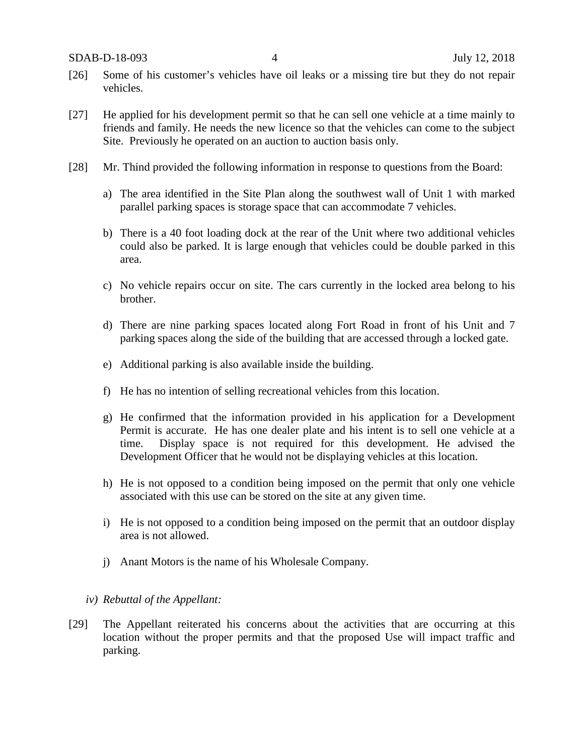- [26] Some of his customer's vehicles have oil leaks or a missing tire but they do not repair vehicles.
- [27] He applied for his development permit so that he can sell one vehicle at a time mainly to friends and family. He needs the new licence so that the vehicles can come to the subject Site. Previously he operated on an auction to auction basis only.
- [28] Mr. Thind provided the following information in response to questions from the Board:
	- a) The area identified in the Site Plan along the southwest wall of Unit 1 with marked parallel parking spaces is storage space that can accommodate 7 vehicles.
	- b) There is a 40 foot loading dock at the rear of the Unit where two additional vehicles could also be parked. It is large enough that vehicles could be double parked in this area.
	- c) No vehicle repairs occur on site. The cars currently in the locked area belong to his brother.
	- d) There are nine parking spaces located along Fort Road in front of his Unit and 7 parking spaces along the side of the building that are accessed through a locked gate.
	- e) Additional parking is also available inside the building.
	- f) He has no intention of selling recreational vehicles from this location.
	- g) He confirmed that the information provided in his application for a Development Permit is accurate. He has one dealer plate and his intent is to sell one vehicle at a time. Display space is not required for this development. He advised the Development Officer that he would not be displaying vehicles at this location.
	- h) He is not opposed to a condition being imposed on the permit that only one vehicle associated with this use can be stored on the site at any given time.
	- i) He is not opposed to a condition being imposed on the permit that an outdoor display area is not allowed.
	- j) Anant Motors is the name of his Wholesale Company.

#### *iv) Rebuttal of the Appellant:*

[29] The Appellant reiterated his concerns about the activities that are occurring at this location without the proper permits and that the proposed Use will impact traffic and parking.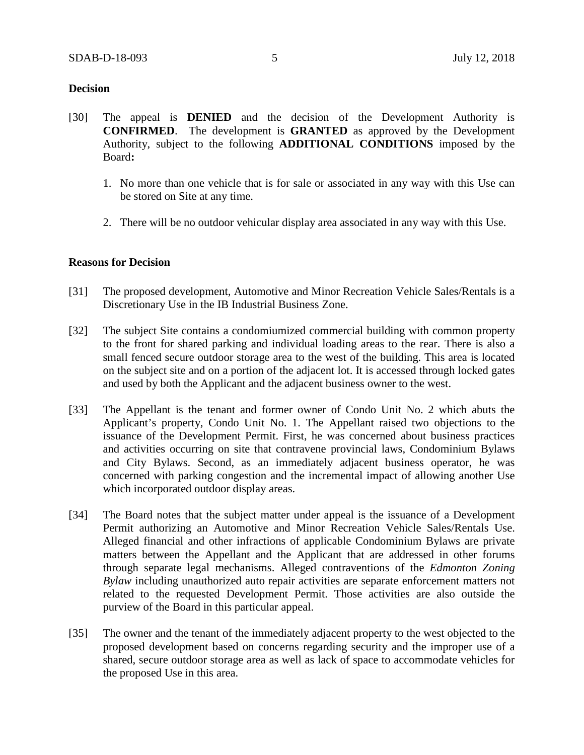#### **Decision**

- [30] The appeal is **DENIED** and the decision of the Development Authority is **CONFIRMED**. The development is **GRANTED** as approved by the Development Authority, subject to the following **ADDITIONAL CONDITIONS** imposed by the Board**:**
	- 1. No more than one vehicle that is for sale or associated in any way with this Use can be stored on Site at any time.
	- 2. There will be no outdoor vehicular display area associated in any way with this Use.

#### **Reasons for Decision**

- [31] The proposed development, Automotive and Minor Recreation Vehicle Sales/Rentals is a Discretionary Use in the IB Industrial Business Zone.
- [32] The subject Site contains a condomiumized commercial building with common property to the front for shared parking and individual loading areas to the rear. There is also a small fenced secure outdoor storage area to the west of the building. This area is located on the subject site and on a portion of the adjacent lot. It is accessed through locked gates and used by both the Applicant and the adjacent business owner to the west.
- [33] The Appellant is the tenant and former owner of Condo Unit No. 2 which abuts the Applicant's property, Condo Unit No. 1. The Appellant raised two objections to the issuance of the Development Permit. First, he was concerned about business practices and activities occurring on site that contravene provincial laws, Condominium Bylaws and City Bylaws. Second, as an immediately adjacent business operator, he was concerned with parking congestion and the incremental impact of allowing another Use which incorporated outdoor display areas.
- [34] The Board notes that the subject matter under appeal is the issuance of a Development Permit authorizing an Automotive and Minor Recreation Vehicle Sales/Rentals Use. Alleged financial and other infractions of applicable Condominium Bylaws are private matters between the Appellant and the Applicant that are addressed in other forums through separate legal mechanisms. Alleged contraventions of the *Edmonton Zoning Bylaw* including unauthorized auto repair activities are separate enforcement matters not related to the requested Development Permit. Those activities are also outside the purview of the Board in this particular appeal.
- [35] The owner and the tenant of the immediately adjacent property to the west objected to the proposed development based on concerns regarding security and the improper use of a shared, secure outdoor storage area as well as lack of space to accommodate vehicles for the proposed Use in this area.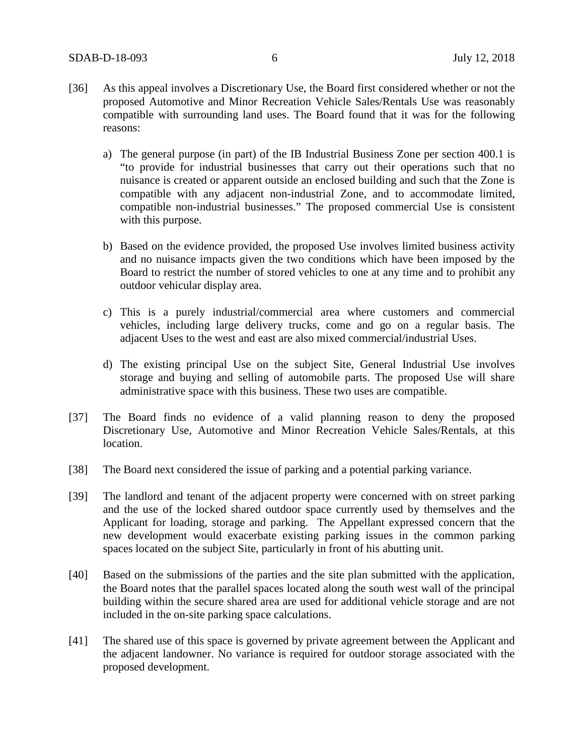- [36] As this appeal involves a Discretionary Use, the Board first considered whether or not the proposed Automotive and Minor Recreation Vehicle Sales/Rentals Use was reasonably compatible with surrounding land uses. The Board found that it was for the following reasons:
	- a) The general purpose (in part) of the IB Industrial Business Zone per section 400.1 is "to provide for industrial businesses that carry out their operations such that no nuisance is created or apparent outside an enclosed building and such that the Zone is compatible with any adjacent non-industrial Zone, and to accommodate limited, compatible non-industrial businesses." The proposed commercial Use is consistent with this purpose.
	- b) Based on the evidence provided, the proposed Use involves limited business activity and no nuisance impacts given the two conditions which have been imposed by the Board to restrict the number of stored vehicles to one at any time and to prohibit any outdoor vehicular display area.
	- c) This is a purely industrial/commercial area where customers and commercial vehicles, including large delivery trucks, come and go on a regular basis. The adjacent Uses to the west and east are also mixed commercial/industrial Uses.
	- d) The existing principal Use on the subject Site, General Industrial Use involves storage and buying and selling of automobile parts. The proposed Use will share administrative space with this business. These two uses are compatible.
- [37] The Board finds no evidence of a valid planning reason to deny the proposed Discretionary Use, Automotive and Minor Recreation Vehicle Sales/Rentals, at this location.
- [38] The Board next considered the issue of parking and a potential parking variance.
- [39] The landlord and tenant of the adjacent property were concerned with on street parking and the use of the locked shared outdoor space currently used by themselves and the Applicant for loading, storage and parking. The Appellant expressed concern that the new development would exacerbate existing parking issues in the common parking spaces located on the subject Site, particularly in front of his abutting unit.
- [40] Based on the submissions of the parties and the site plan submitted with the application, the Board notes that the parallel spaces located along the south west wall of the principal building within the secure shared area are used for additional vehicle storage and are not included in the on-site parking space calculations.
- [41] The shared use of this space is governed by private agreement between the Applicant and the adjacent landowner. No variance is required for outdoor storage associated with the proposed development.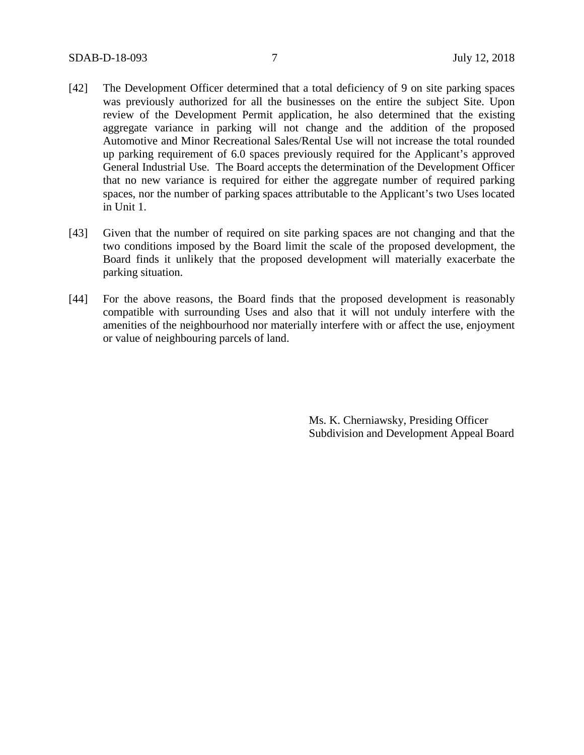- [42] The Development Officer determined that a total deficiency of 9 on site parking spaces was previously authorized for all the businesses on the entire the subject Site. Upon review of the Development Permit application, he also determined that the existing aggregate variance in parking will not change and the addition of the proposed Automotive and Minor Recreational Sales/Rental Use will not increase the total rounded up parking requirement of 6.0 spaces previously required for the Applicant's approved General Industrial Use. The Board accepts the determination of the Development Officer that no new variance is required for either the aggregate number of required parking spaces, nor the number of parking spaces attributable to the Applicant's two Uses located in Unit 1.
- [43] Given that the number of required on site parking spaces are not changing and that the two conditions imposed by the Board limit the scale of the proposed development, the Board finds it unlikely that the proposed development will materially exacerbate the parking situation.
- [44] For the above reasons, the Board finds that the proposed development is reasonably compatible with surrounding Uses and also that it will not unduly interfere with the amenities of the neighbourhood nor materially interfere with or affect the use, enjoyment or value of neighbouring parcels of land.

Ms. K. Cherniawsky, Presiding Officer Subdivision and Development Appeal Board